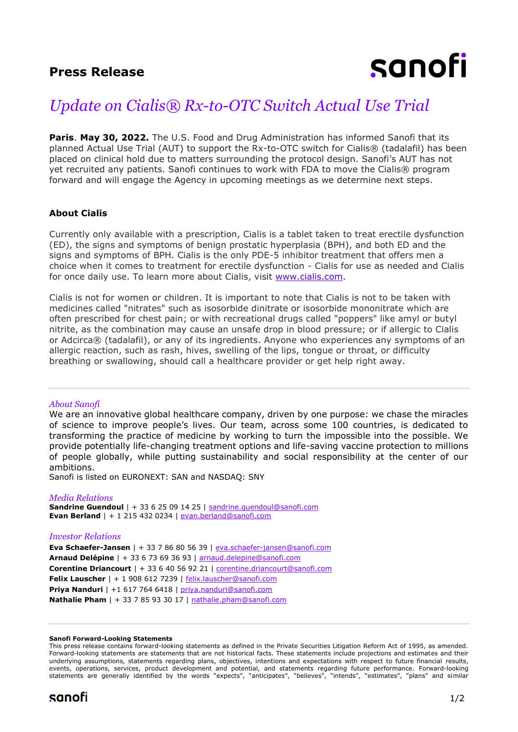### **Press Release**

# sanofi

## *Update on Cialis® Rx-to-OTC Switch Actual Use Trial*

**Paris**. **May 30, 2022.** The U.S. Food and Drug Administration has informed Sanofi that its planned Actual Use Trial (AUT) to support the Rx-to-OTC switch for Cialis® (tadalafil) has been placed on clinical hold due to matters surrounding the protocol design. Sanofi's AUT has not yet recruited any patients. Sanofi continues to work with FDA to move the Cialis® program forward and will engage the Agency in upcoming meetings as we determine next steps.

#### **About Cialis**

Currently only available with a prescription, Cialis is a tablet taken to treat erectile dysfunction (ED), the signs and symptoms of benign prostatic hyperplasia (BPH), and both ED and the signs and symptoms of BPH. Cialis is the only PDE-5 inhibitor treatment that offers men a choice when it comes to treatment for erectile dysfunction - Cialis for use as needed and Cialis for once daily use. To learn more about Cialis, visit [www.cialis.com.](http://www.cialis.com/)

Cialis is not for women or children. It is important to note that Cialis is not to be taken with medicines called "nitrates" such as isosorbide dinitrate or isosorbide mononitrate which are often prescribed for chest pain; or with recreational drugs called "poppers" like amyl or butyl nitrite, as the combination may cause an unsafe drop in blood pressure; or if allergic to Cialis or Adcirca® (tadalafil), or any of its ingredients. Anyone who experiences any symptoms of an allergic reaction, such as rash, hives, swelling of the lips, tongue or throat, or difficulty breathing or swallowing, should call a healthcare provider or get help right away.

#### *About Sanofi*

We are an innovative global healthcare company, driven by one purpose: we chase the miracles of science to improve people's lives. Our team, across some 100 countries, is dedicated to transforming the practice of medicine by working to turn the impossible into the possible. We provide potentially life-changing treatment options and life-saving vaccine protection to millions of people globally, while putting sustainability and social responsibility at the center of our ambitions.

Sanofi is listed on EURONEXT: SAN and NASDAQ: SNY

#### *Media Relations*

**Sandrine Guendoul** | + 33 6 25 09 14 25 | sandrine.quendoul@sanofi.com **Evan Berland** | + 1 215 432 0234 | [evan.berland@sanofi.com](mailto:evan.berland@sanofi.com)

#### *Investor Relations*

**Eva Schaefer-Jansen** | + 33 7 86 80 56 39 | [eva.schaefer-jansen@sanofi.com](mailto:eva.schaefer-jansen@sanofi.com) **Arnaud Delépine** | + 33 6 73 69 36 93 | [arnaud.delepine@sanofi.com](mailto:arnaud.delepine@sanofi.com) **Corentine Driancourt** | + 33 6 40 56 92 21 | [corentine.driancourt@sanofi.com](mailto:corentine.driancourt@sanofi.com) **Felix Lauscher** | + 1 908 612 7239 | [felix.lauscher@sanofi.com](mailto:felix.lauscher@sanofi.com) **Priya Nanduri** | +1 617 764 6418 | [priya.nanduri@sanofi.com](mailto:priya.nanduri@sanofi.com) **Nathalie Pham** | + 33 7 85 93 30 17 | [nathalie.pham@sanofi.com](mailto:nathalie.pham@sanofi.com)

#### **Sanofi Forward-Looking Statements**

This press release contains forward-looking statements as defined in the Private Securities Litigation Reform Act of 1995, as amended. Forward-looking statements are statements that are not historical facts. These statements include projections and estimates and their underlying assumptions, statements regarding plans, objectives, intentions and expectations with respect to future financial results, events, operations, services, product development and potential, and statements regarding future performance. Forward-looking statements are generally identified by the words "expects", "anticipates", "believes", "intends", "estimates", "plans" and similar